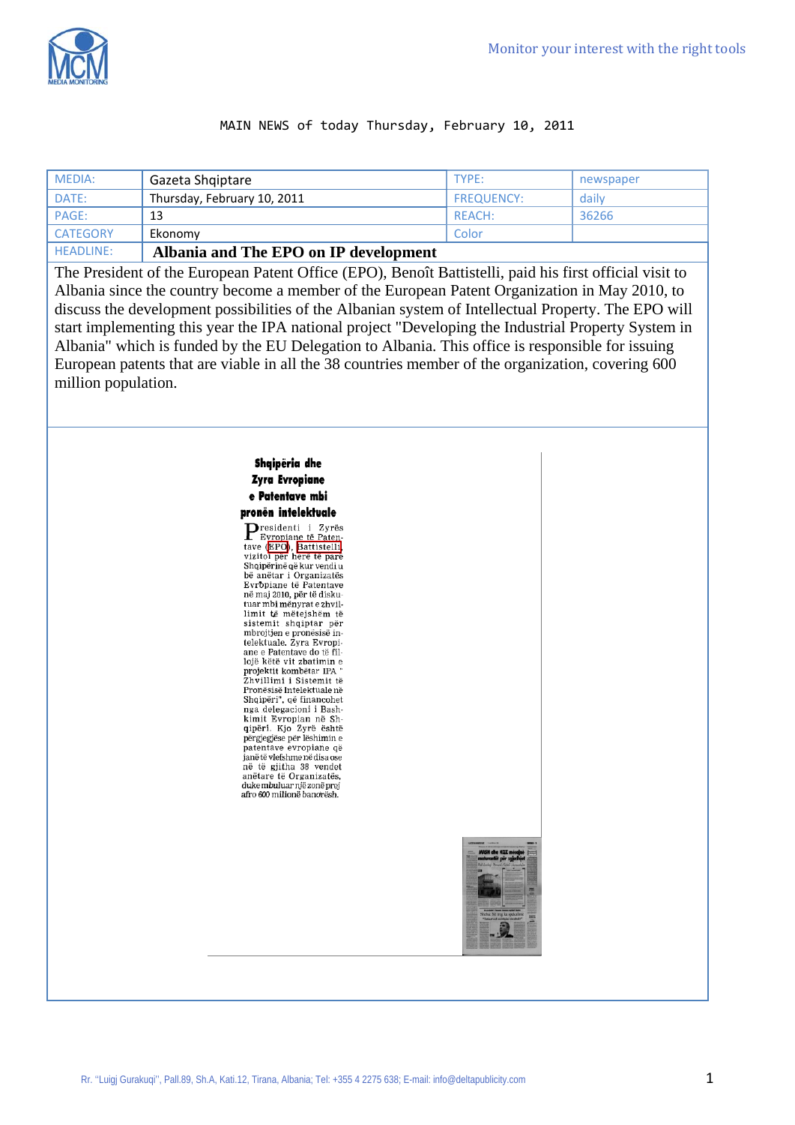

### MAIN NEWS of today Thursday, February 10, 2011

| MEDIA:          | Gazeta Shqiptare                      | TYPE:             | newspaper |
|-----------------|---------------------------------------|-------------------|-----------|
| DATE:           | Thursday, February 10, 2011           | <b>FREQUENCY:</b> | daily     |
| PAGE:           | 13                                    | REACH:            | 36266     |
| <b>CATEGORY</b> | Ekonomy                               | Color             |           |
| HEADLINE:       | Albania and The EPO on IP development |                   |           |

The President of the European Patent Office (EPO), Benoît Battistelli, paid his first official visit to Albania since the country become a member of the European Patent Organization in May 2010, to discuss the development possibilities of the Albanian system of Intellectual Property. The EPO will start implementing this year the IPA national project "Developing the Industrial Property System in Albania" which is funded by the EU Delegation to Albania. This office is responsible for issuing European patents that are viable in all the 38 countries member of the organization, covering 600 million population.

#### Shqipëria dhe **Zyra Evropiane** e Patentave mbi pronën intelektuale

 $\sum_{\substack{\text{Fyronian }t\text{}}}\n\sum_{\substack{\text{Fyronian }t\text{}}}\n\sum_{\substack{\text{Fyronian }t\text{}}}\n\sum_{\substack{\text{Fyronian }t\text{}}}\n\sum_{\substack{\text{Fyronian }t\text{}}}\n\sum_{\substack{\text{Fyronian }t\text{}}}\n\sum_{\substack{\text{Fyronian }t\text{}}}\n\sum_{\substack{\text{Fyronian }t\text{}}}}\n\sum_{\substack{\text{Fyronian }t\text{}}}\n\sum_{\substack{\text{Fyronian }t\text{}}}}\n\sum_{\substack{\text$ Expression 1 2yres<br>tave (EPO), Battistelli<br>vizitoi për herë të parë Shqipërinë që kur vendi u<br>bë anëtar i Organizatës Evropiane të Patentave në maj 2010, për të diskutuar mbi mënyrat e zhvillimit të mëtejshëm të<br>sistemit shqiptar për mbrojtjen e pronësisë in-<br>telektuale. Zyra Evropiane e Patentave do të fil-<br>lojë këtë vit zbatimin e projektit kombëtar IPA<br>Zhvillimi i Sistemit të Pronësisë Intelektuale në Shqipëri", që financohet nga delegacioni i Bashkimit Evropian në Sh-<br>qipëri. Kjo Zyrë është përgjegjëse për lëshimin e<br>patentave evropiane që janëtë vlefshme në disa ose<br>në të gjitha 38 vendet anëtare të Organizatës,<br>dukembuluar një zonë prej afro 600 milionë banorësh

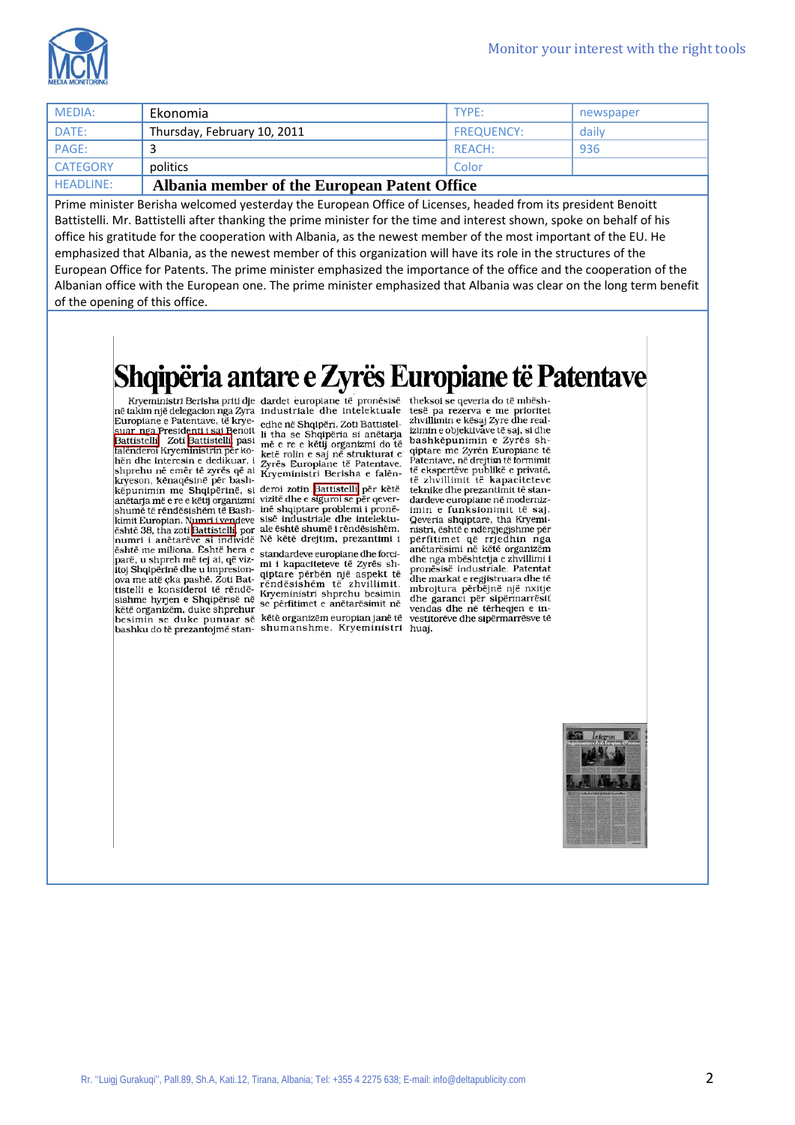

| MEDIA:           | Ekonomia                                     | TYPF:             | newspaper |
|------------------|----------------------------------------------|-------------------|-----------|
| DATE:            | Thursday, February 10, 2011                  | <b>FREQUENCY:</b> | daily     |
| PAGE:            |                                              | REACH:            | 936       |
| <b>CATEGORY</b>  | politics                                     | Color             |           |
| <b>HEADLINE:</b> | Albania member of the European Patent Office |                   |           |

Prime minister Berisha welcomed yesterday the European Office of Licenses, headed from its president Benoitt Battistelli. Mr. Battistelli after thanking the prime minister for the time and interest shown, spoke on behalf of his office his gratitude for the cooperation with Albania, as the newest member of the most important of the EU. He emphasized that Albania, as the newest member of this organization will have its role in the structures of the European Office for Patents. The prime minister emphasized the importance of the office and the cooperation of the Albanian office with the European one. The prime minister emphasized that Albania was clear on the long term benefit of the opening of this office.

# Shqipëria antare e Zyrës Europiane të Patentave

**Example 19**<br> **Example 19**<br> **Example 19**<br> **Example 19**<br> **Example 19**<br> **Example 19**<br> **Example 19**<br> **Example 19**<br> **Example 19**<br> **Example 19**<br> **Example 19**<br> **Example 19**<br> **Example 19**<br> **Example 19**<br> **Example 19**<br> **Example 19** shprehu në emër të zvrës që ai kryeson, kënaqësinë për bashkryeson, kenadesine per basir-<br>kêpunimin me Shqipërinë, si deroi zotin <mark>Battistelli</mark> për këtë<br>anëtarja më e re e këtij organizmi vizitë dhe e siguroi se për qeverauctaria in et et e kein organizmum van de happens problem i prone-<br>kinnit Europian. Numri i vendeve sisë industriale dhe intelektu-<br>eshtë 38, tha zoti **Battistelli** por ale është shumë i rëndësishëm. esnicos, tiai actualmente i anticialmente de la diferencia de la diferencia de la diferencia de la diferencia diferente de la diferencia diferente del diferente del forci-<br>parë, u shpreh më tej ai, që viz- mi i kapacitetev pare, u sinjetni lite tej al, qe vazimi i kapaciteteve të Zyrës sh-<br>itoj Shqipërinë dhe u impresion-<br>ova me atë çka pashë. Zoti Bat-<br>rëndësishëm të zhvillimit.<br>tistelli e konsideroi të rëndësi këngurimistri shprehu besimin issisme hyrjen e Shqipërisë në Kryeministri shprehu besimin<br>këtë organizëm, duke shprehur se përfitimet e anëtarësimit në<br>këtë organizëm, duke shprehur she se shkryenizëm sunneise isht besimin se duke punuar së këtë organizëm europian janë të bashku do të prezantojmë stan- shumanshme. Kryeministri huaj.

Zyrës Europiane të Patentave. Kryeministri Berisha e falën-

plane me zyren Barophine të<br>Patentave, në drejtim të formimit<br>të ekspertëve publikë e privatë, të zhvillimit të kapaciteteve teknike dhe prezantimit të standardeve europiane në modernizimin e funksionimit të saj Qeveria shqiptare, tha Kryeministri, është e ndërgjegjshme për përfitimet që rrjedhin nga<br>anëtarësimi në këtë organizëm dhe nga mbështetja e zhvillimi i pronësisë industriale. Patentat dhe markat e regjistruara dhe të mbrojtura përbëjnë një nxitje dhe garanci për sipërmarrësit vendas dhe në tërheqjen e investitorëve dhe sipërmarrësve të

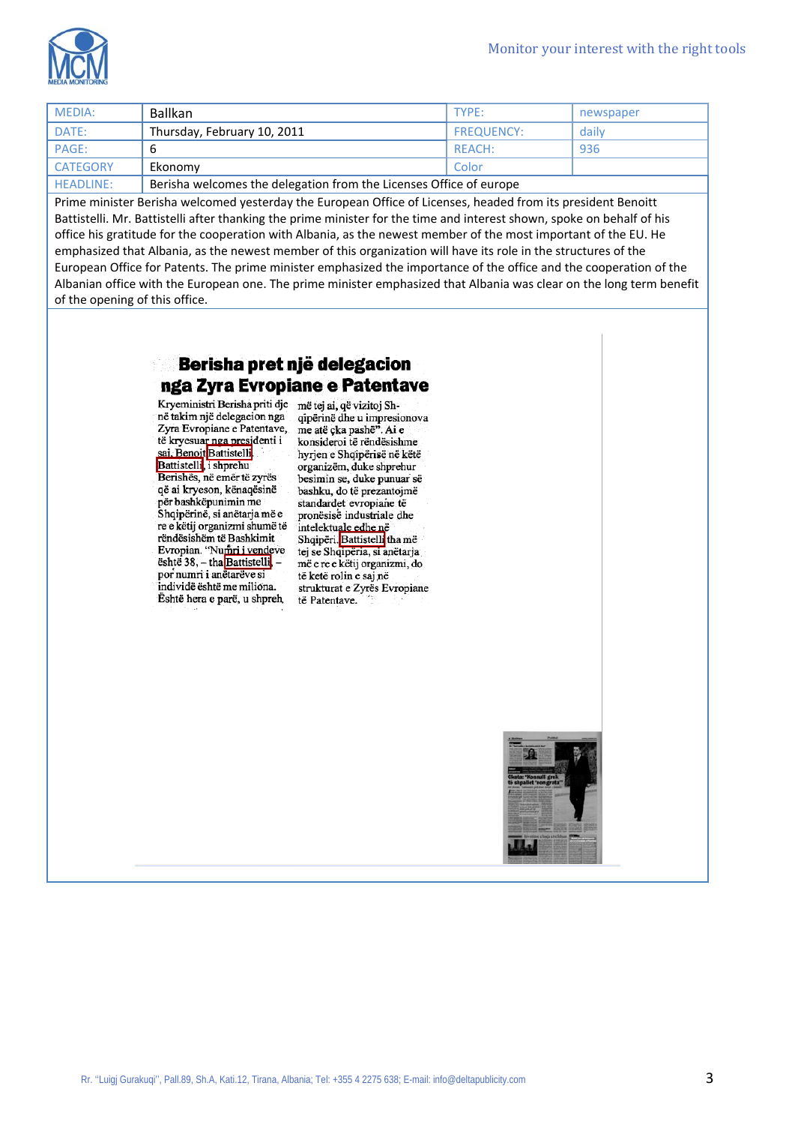

| MEDIA:           | <b>Ballkan</b>                                                     | TYPE:             | newspaper |
|------------------|--------------------------------------------------------------------|-------------------|-----------|
| DATE:            | Thursday, February 10, 2011                                        | <b>FREQUENCY:</b> | daily     |
| PAGE:            | b                                                                  | REACH:            | 936       |
| <b>CATEGORY</b>  | Ekonomv                                                            | Color             |           |
| <b>HEADLINE:</b> | Berisha welcomes the delegation from the Licenses Office of europe |                   |           |

Prime minister Berisha welcomed yesterday the European Office of Licenses, headed from its president Benoitt Battistelli. Mr. Battistelli after thanking the prime minister for the time and interest shown, spoke on behalf of his office his gratitude for the cooperation with Albania, as the newest member of the most important of the EU. He emphasized that Albania, as the newest member of this organization will have its role in the structures of the European Office for Patents. The prime minister emphasized the importance of the office and the cooperation of the Albanian office with the European one. The prime minister emphasized that Albania was clear on the long term benefit of the opening of this office.

### Berisha pret një delegacion nga Zyra Evropiane e Patentave

Kryeministri Berisha priti dje më tej ai, që vizitoj Shnë takim një delegacion nga Zyra Evropiane e Patentave, të kryesuar nga presidenti i sai, Benoit Battistelli Berishës, në emër të zyrës që ai kryeson, kënaqësinë për bashkëpunimin me Shqipërinë, si anëtarja më e re e këtij organizmi shumë të rëndësishëm të Bashkimit Evropian. "Numri i vendeve është 38, - tha Battistelli, por numri i anëtarëve si individë është me miliona. Është hera e parë, u shpreh,

qipërinë dhe u impresionova me atë çka pashë". Ai e konsideroi të rëndësishme hyrjen e Shqipërisë në këtë organizëm, duke shprehur besimin se, duke punuar së bashku, do të prezantojmë standardet evropiane të pronësisë industriale dhe intelektuale edhe në<br>Shqipëri.Battistelli tha më tej se Shqipëria, si anëtarja më e re e këtij organizmi, do të ketë rolin e saj në strukturat e Zyrës Evropiane të Patentave.

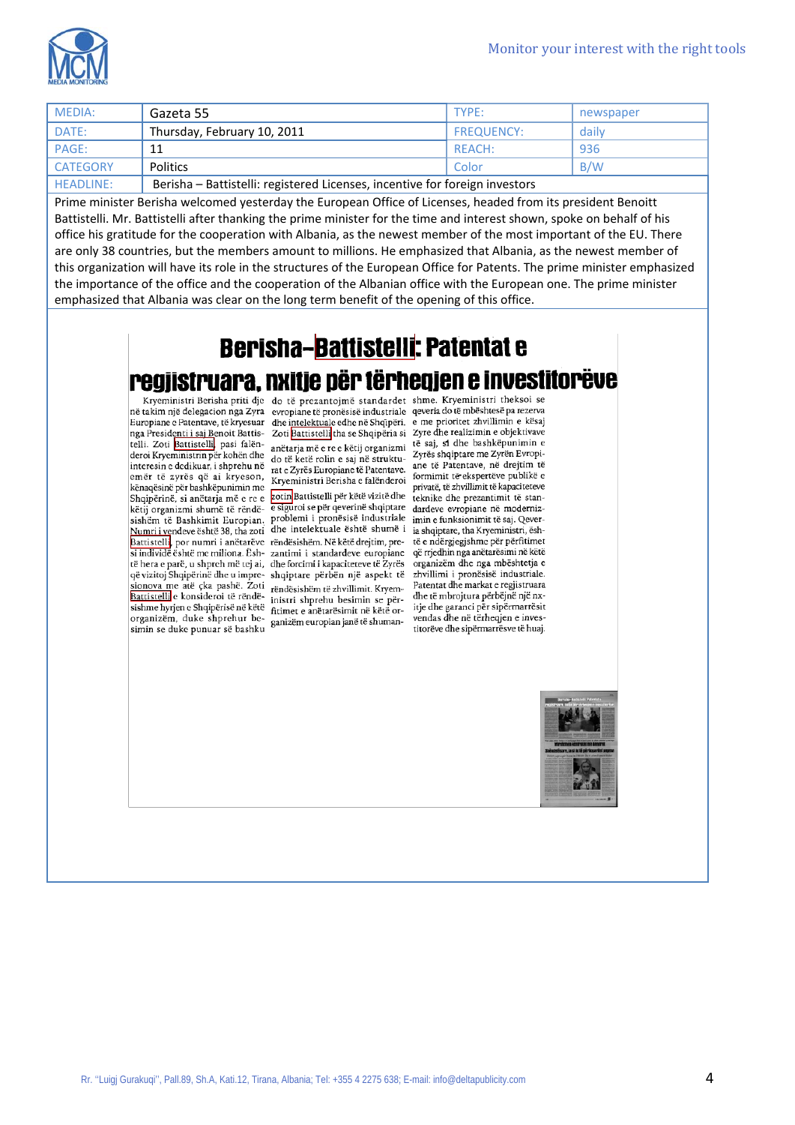

| MEDIA:           | Gazeta 55                                                                   | TYPE:             | newspaper |
|------------------|-----------------------------------------------------------------------------|-------------------|-----------|
| DATE:            | Thursday, February 10, 2011                                                 | <b>FREQUENCY:</b> | daily     |
| PAGE:            | 11                                                                          | REACH:            | 936       |
| <b>CATEGORY</b>  | Politics                                                                    | Color             | B/W       |
| <b>HEADLINE:</b> | Berisha - Battistelli: registered Licenses, incentive for foreign investors |                   |           |

Prime minister Berisha welcomed yesterday the European Office of Licenses, headed from its president Benoitt Battistelli. Mr. Battistelli after thanking the prime minister for the time and interest shown, spoke on behalf of his office his gratitude for the cooperation with Albania, as the newest member of the most important of the EU. There are only 38 countries, but the members amount to millions. He emphasized that Albania, as the newest member of this organization will have its role in the structures of the European Office for Patents. The prime minister emphasized the importance of the office and the cooperation of the Albanian office with the European one. The prime minister emphasized that Albania was clear on the long term benefit of the opening of this office.

## **Berisha-Battistelli: Patentat e** regjistruara, nxitje për tërheqjen e investitorëve

në takim një delegacion nga Zyra evropiane të pronësisë industriale qeveria do të mbështesë pa rezerva Europiane e Patentave, të kryesuar nga Presidenti i saj Benoit Battistelli. Zoti Battistelli, pasi falën-<br>deroi Kryeministrin për kohën dhe interesin e dedikuar, i shprehu në emër të zyrës që ai kryeson, kënaqësinë për bashkëpunimin me Shqipërinë, si anëtarja më e re e këtij organizmi shumë të rëndësishëm të Bashkimit Europian. problemi i pronësisë industriale Numri i vendeve është 38, tha zoti dhe intelektuale është shumë i Battistelli, por numri i anëtarëve rëndësishëm. Në këtë drejtim, presi individë është me miliona. Ësh-zantimi i standardeve europiane të hera e parë, u shpreh më tej ai, dhe forcimi i kapaciteteve të Zyrës që vizitoj Shqipërinë dhe u impre- shqiptare përbën një aspekt të stonova me atë çka pashë. Zoti rëndësishëm të zhvillimit. Kryem-Battistelli e konsideroi të rëndësishme hyjen e Shqipërisë në këtë fitimet e anëtarësimit në këtë ororganizëm, duke shprehur besimin se duke punuar së bashku

Kryeministri Berisha priti dje do të prezantojmë standardet shme. Kryeministri theksoi se dhe intelektuale edhe në Shqipëri. Zoti Battistelli tha se Shqipëria si anëtarja më e re e këtij organizmi

do të ketë rolin e saj në strukturat e Zyrës Europiane të Patentave. Kryeministri Berisha e falënderoi

zotin Battistelli për këtë vizitë dhe e siguroi se për qeverinë shqiptare inistri shprehu besimin se përganizëm europian janë të shuman-

e me prioritet zhvillimin e kësaj Zyre dhe realizimin e objektivave të saj, si dhe bashkëpunimin e Zyrës shqiptare me Zyrën Evropiane të Patentave, në drejtim të formimit të ekspertëve publikë e privatë, të zhvillimit të kapaciteteve teknike dhe prezantimit të standardeve evropiane në modernizimin e funksionimit të saj. Qeveria shqiptare, tha Kryeministri, është e ndërgjegjshme për përfitimet që rrjedhin nga anëtarësimi në këtë organizëm dhe nga mbështetja e zhvillimi i pronësisë industriale. Patentat dhe markat e regjistruara dhe të mbrojtura përbëjnë një nxitje dhe garanci për sipërmarrësit vendas dhe në tërheqjen e investitorëve dhe sipërmarrësve të huaj.

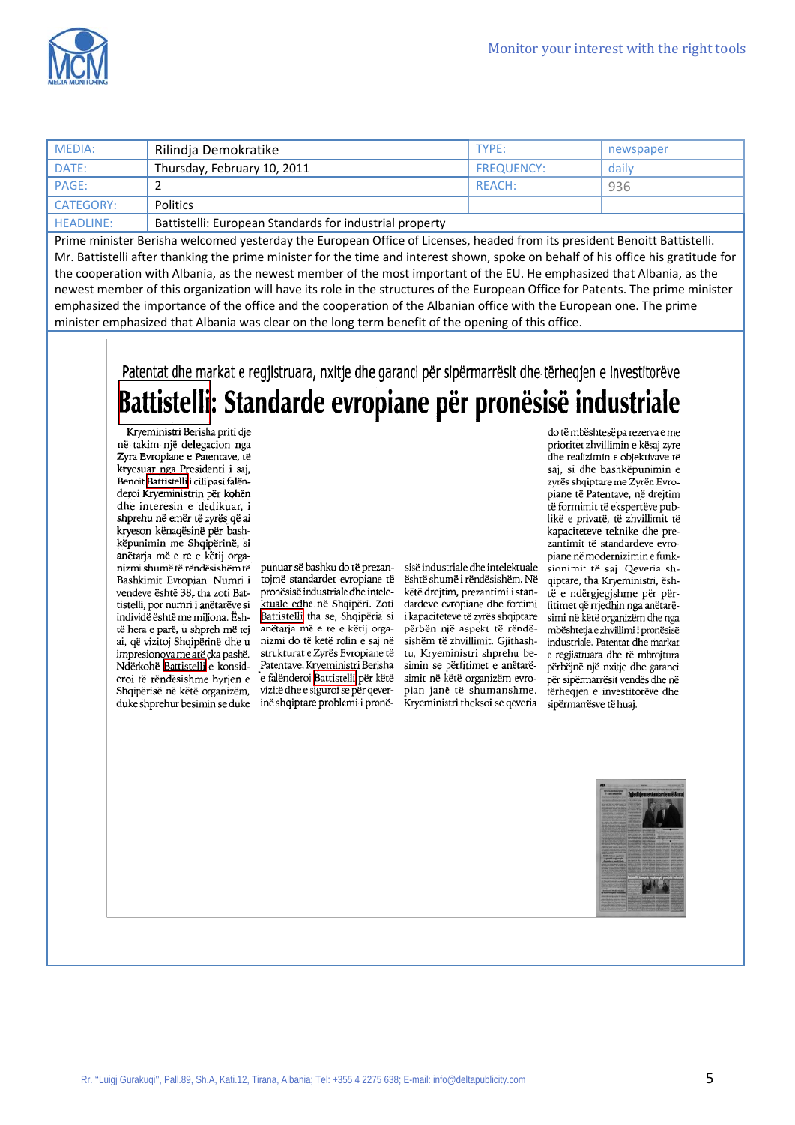

| MEDIA:           | Rilindja Demokratike                                    | TYPE:             | newspaper |
|------------------|---------------------------------------------------------|-------------------|-----------|
| DATE:            | Thursday, February 10, 2011                             | <b>FREQUENCY:</b> | daily     |
| PAGE:            |                                                         | REACH:            | 936       |
| <b>CATEGORY:</b> | <b>Politics</b>                                         |                   |           |
| <b>HEADLINE:</b> | Battistelli: European Standards for industrial property |                   |           |

Prime minister Berisha welcomed yesterday the European Office of Licenses, headed from its president Benoitt Battistelli. Mr. Battistelli after thanking the prime minister for the time and interest shown, spoke on behalf of his office his gratitude for the cooperation with Albania, as the newest member of the most important of the EU. He emphasized that Albania, as the newest member of this organization will have its role in the structures of the European Office for Patents. The prime minister emphasized the importance of the office and the cooperation of the Albanian office with the European one. The prime minister emphasized that Albania was clear on the long term benefit of the opening of this office.

Patentat dhe markat e regjistruara, nxitje dhe garanci për sipërmarrësit dhe tërheqjen e investitorëve Battistelli: Standarde evropiane për pronësisë industriale

Kryeministri Berisha priti dje në takim një delegacion nga Zyra Evropiane e Patentave, të kryesuar nga Presidenti i saj, Benoit Battistelli i cili pasi falënderoi Kryeministrin për kohën dhe interesin e dedikuar, i shprehu në emër të zyrës që ai kryeson kënaqësinë për bashkëpunimin me Shqipërinë, si anëtaria më e re e këtij organizmi shumë të rëndësishëm të Bashkimit Evropian. Numri i vendeve është 38, tha zoti Battistelli, por numri i anëtarëve si individë është me miliona. Është hera e parë, u shpreh më tej ai, që vizitoj Shqipërinë dhe u impresionova me atë çka pashë. Ndërkohë Battistelli e konsideroi të rëndësishme hyrjen e Shqipërisë në këtë organizëm, duke shprehur besimin se duke inë shqiptare problemi i pronë-

punuar së bashku do të prezantoimë standardet evropiane të pronësisë industriale dhe intelektuale edhe në Shqipëri. Zoti Battistelli tha se, Shqipëria si anëtarja më e re e këtij organizmi do të ketë rolin e saj në strukturat e Zyrës Evropiane të Patentave. Kryeministri Berisha e falënderoi Battistelli për këtë vizitë dhe e siguroi se për qever-

sisë industriale dhe intelektuale është shumë i rëndësishëm. Në këtë drejtim, prezantimi i standardeve evropiane dhe forcimi i kapaciteteve të zvrës shqiptare përbën një aspekt të rëndësishëm të zhvillimit. Gjithashtu, Kryeministri shprehu besimin se përfitimet e anëtarësimit në këtë organizëm evropian janë të shumanshme. Kryeministri theksoi se qeveria

do të mbështesë pa rezerva e me prioritet zhvillimin e kësaj zyre dhe realizimin e objektivave të saj, si dhe bashkëpunimin e zyrës shqiptare me Zyrën Evropiane të Patentave, në drejtim të formimit të ekspertëve publikë e privatë, të zhvillimit të kapaciteteve teknike dhe prezantimit të standardeve evropiane në modernizimin e funksionimit të saj. Qeveria shqiptare, tha Kryeministri, është e ndërgjegjshme për përfitimet që rrjedhin nga anëtarësimi në këtë organizëm dhe nga mbështetja e zhvillimi i pronësisë industriale. Patentat dhe markat e regiistruara dhe të mbroitura përbëjnë një nxitje dhe garanci për sipërmarrësit vendës dhe në tërheqien e investitorëve dhe sipërmarrësve të huaj.